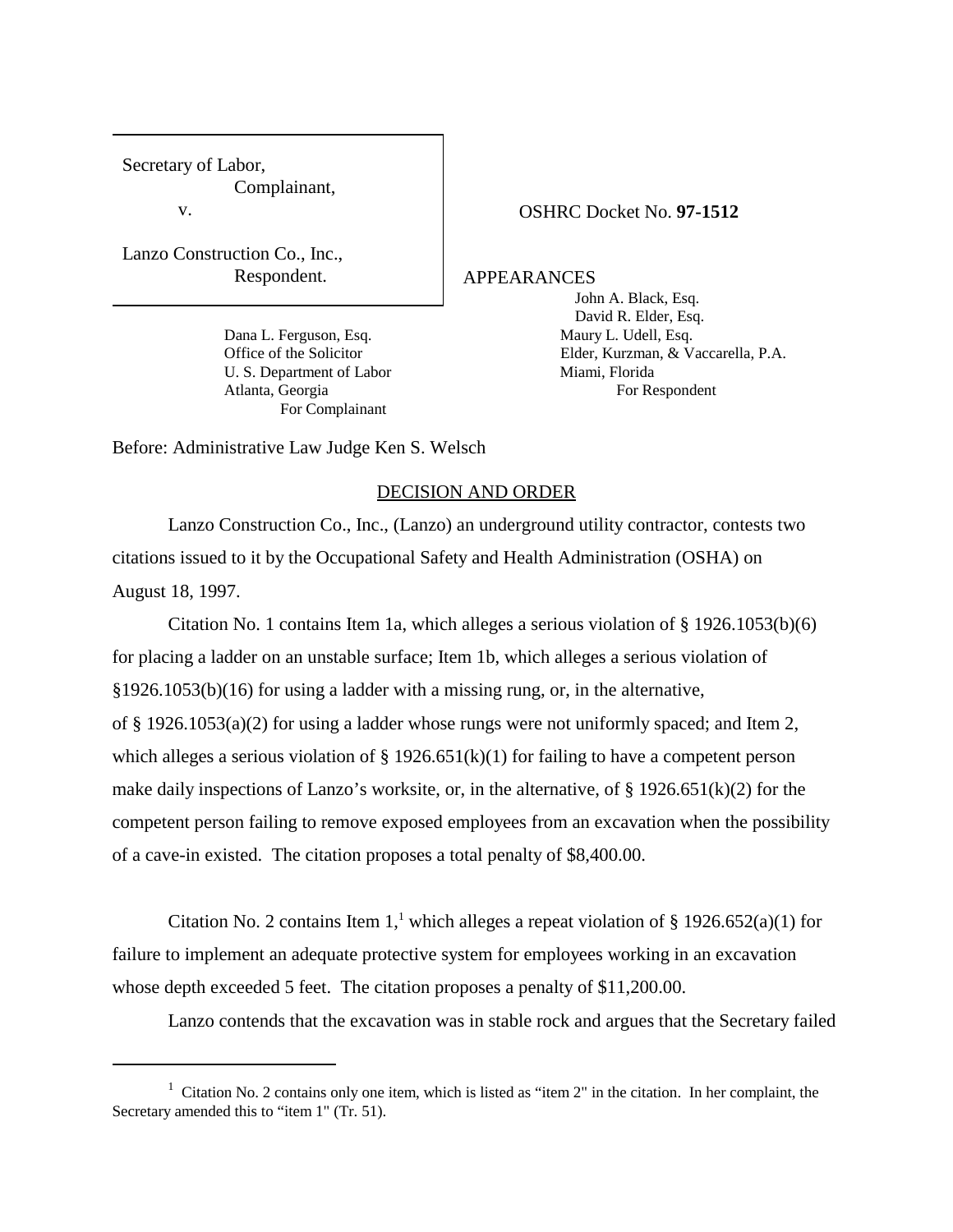Secretary of Labor, Complainant, v.

Lanzo Construction Co., Inc., Respondent.

> Dana L. Ferguson, Esq. Maury L. Udell, Esq. U. S. Department of Labor Miami, Florida Atlanta, Georgia For Respondent For Complainant

OSHRC Docket No. **97-1512**

APPEARANCES

John A. Black, Esq. David R. Elder, Esq. Office of the Solicitor Elder, Kurzman, & Vaccarella, P.A.

Before: Administrative Law Judge Ken S. Welsch

## DECISION AND ORDER

Lanzo Construction Co., Inc., (Lanzo) an underground utility contractor, contests two citations issued to it by the Occupational Safety and Health Administration (OSHA) on August 18, 1997.

Citation No. 1 contains Item 1a, which alleges a serious violation of § 1926.1053(b)(6) for placing a ladder on an unstable surface; Item 1b, which alleges a serious violation of §1926.1053(b)(16) for using a ladder with a missing rung, or, in the alternative, of § 1926.1053(a)(2) for using a ladder whose rungs were not uniformly spaced; and Item 2, which alleges a serious violation of  $\S 1926.651(k)(1)$  for failing to have a competent person make daily inspections of Lanzo's worksite, or, in the alternative, of  $\S$  1926.651(k)(2) for the competent person failing to remove exposed employees from an excavation when the possibility of a cave-in existed. The citation proposes a total penalty of \$8,400.00.

Citation No. 2 contains Item 1,<sup>1</sup> which alleges a repeat violation of § 1926.652(a)(1) for failure to implement an adequate protective system for employees working in an excavation whose depth exceeded 5 feet. The citation proposes a penalty of \$11,200.00.

Lanzo contends that the excavation was in stable rock and argues that the Secretary failed

<sup>&</sup>lt;sup>1</sup> Citation No. 2 contains only one item, which is listed as "item 2" in the citation. In her complaint, the Secretary amended this to "item 1" (Tr. 51).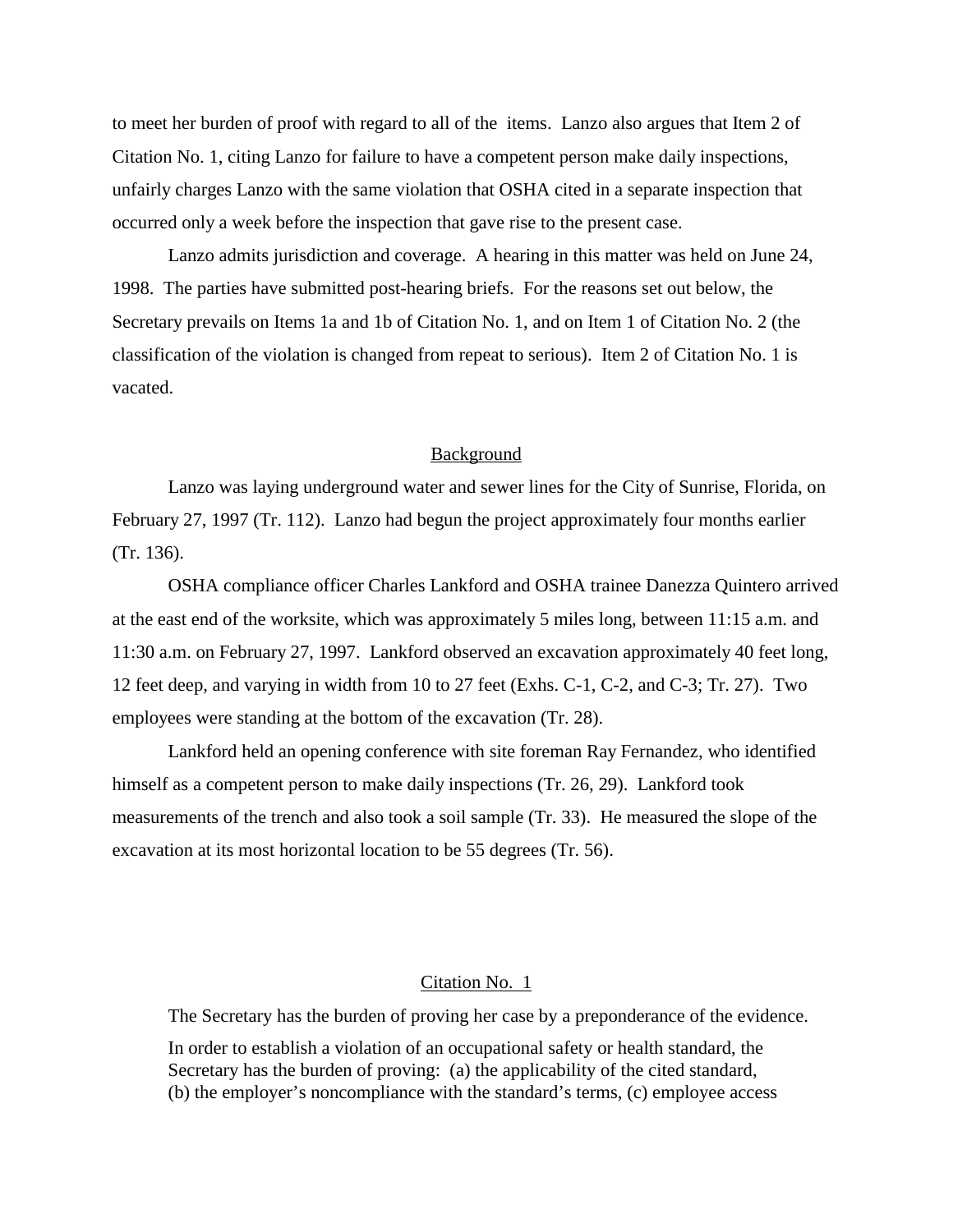to meet her burden of proof with regard to all of the items. Lanzo also argues that Item 2 of Citation No. 1, citing Lanzo for failure to have a competent person make daily inspections, unfairly charges Lanzo with the same violation that OSHA cited in a separate inspection that occurred only a week before the inspection that gave rise to the present case.

Lanzo admits jurisdiction and coverage. A hearing in this matter was held on June 24, 1998. The parties have submitted post-hearing briefs. For the reasons set out below, the Secretary prevails on Items 1a and 1b of Citation No. 1, and on Item 1 of Citation No. 2 (the classification of the violation is changed from repeat to serious). Item 2 of Citation No. 1 is vacated.

## **Background**

Lanzo was laying underground water and sewer lines for the City of Sunrise, Florida, on February 27, 1997 (Tr. 112). Lanzo had begun the project approximately four months earlier (Tr. 136).

OSHA compliance officer Charles Lankford and OSHA trainee Danezza Quintero arrived at the east end of the worksite, which was approximately 5 miles long, between 11:15 a.m. and 11:30 a.m. on February 27, 1997. Lankford observed an excavation approximately 40 feet long, 12 feet deep, and varying in width from 10 to 27 feet (Exhs. C-1, C-2, and C-3; Tr. 27). Two employees were standing at the bottom of the excavation (Tr. 28).

Lankford held an opening conference with site foreman Ray Fernandez, who identified himself as a competent person to make daily inspections (Tr. 26, 29). Lankford took measurements of the trench and also took a soil sample (Tr. 33). He measured the slope of the excavation at its most horizontal location to be 55 degrees (Tr. 56).

### Citation No. 1

The Secretary has the burden of proving her case by a preponderance of the evidence.

In order to establish a violation of an occupational safety or health standard, the Secretary has the burden of proving: (a) the applicability of the cited standard, (b) the employer's noncompliance with the standard's terms, (c) employee access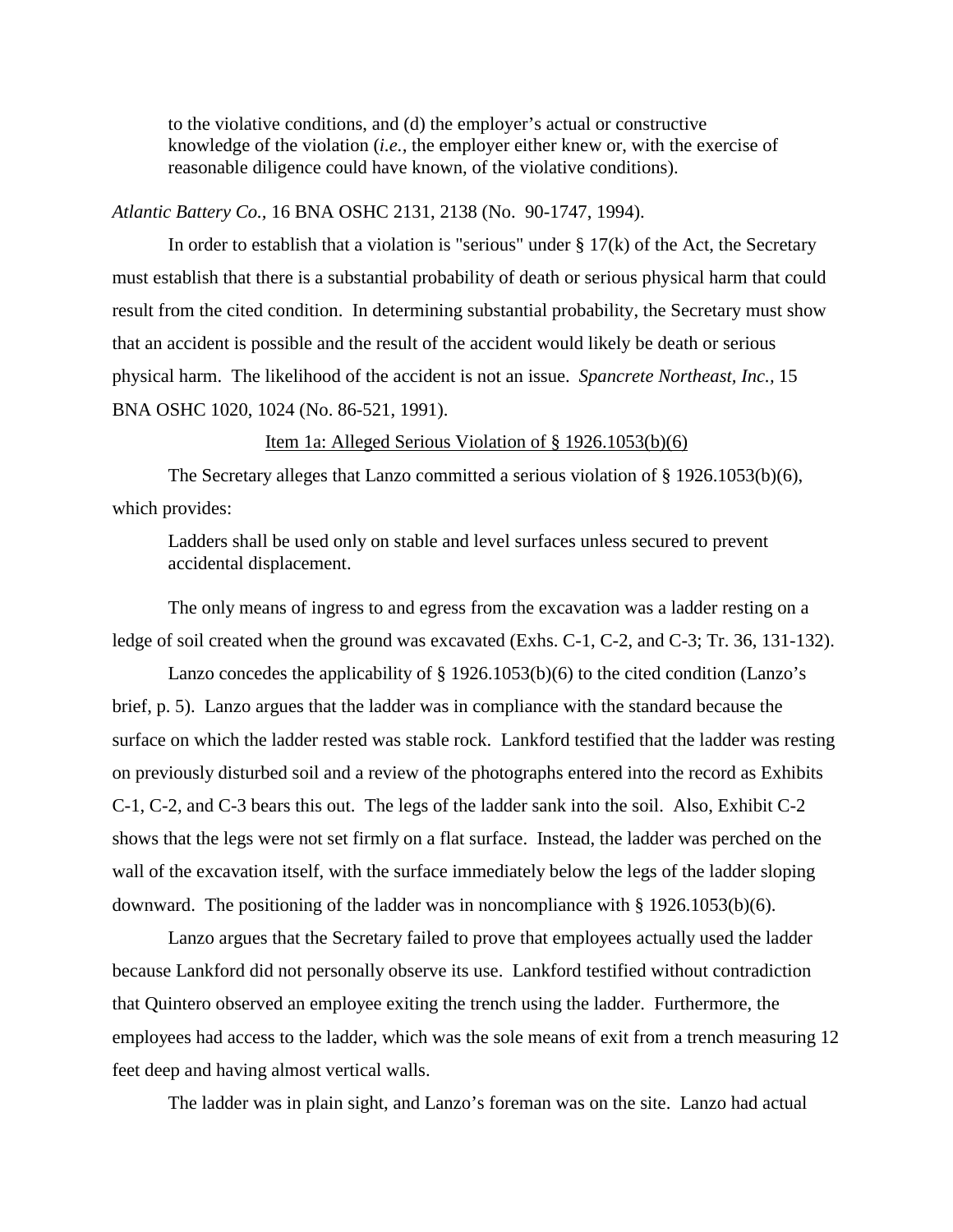to the violative conditions, and (d) the employer's actual or constructive knowledge of the violation (*i.e.,* the employer either knew or, with the exercise of reasonable diligence could have known, of the violative conditions).

## *Atlantic Battery Co.,* 16 BNA OSHC 2131, 2138 (No. 90-1747, 1994).

In order to establish that a violation is "serious" under  $\S 17(k)$  of the Act, the Secretary must establish that there is a substantial probability of death or serious physical harm that could result from the cited condition. In determining substantial probability, the Secretary must show that an accident is possible and the result of the accident would likely be death or serious physical harm. The likelihood of the accident is not an issue. *Spancrete Northeast, Inc.,* 15 BNA OSHC 1020, 1024 (No. 86-521, 1991).

#### Item 1a: Alleged Serious Violation of § 1926.1053(b)(6)

The Secretary alleges that Lanzo committed a serious violation of § 1926.1053(b)(6), which provides:

Ladders shall be used only on stable and level surfaces unless secured to prevent accidental displacement.

The only means of ingress to and egress from the excavation was a ladder resting on a ledge of soil created when the ground was excavated (Exhs. C-1, C-2, and C-3; Tr. 36, 131-132).

Lanzo concedes the applicability of § 1926.1053(b)(6) to the cited condition (Lanzo's brief, p. 5). Lanzo argues that the ladder was in compliance with the standard because the surface on which the ladder rested was stable rock. Lankford testified that the ladder was resting on previously disturbed soil and a review of the photographs entered into the record as Exhibits C-1, C-2, and C-3 bears this out. The legs of the ladder sank into the soil. Also, Exhibit C-2 shows that the legs were not set firmly on a flat surface. Instead, the ladder was perched on the wall of the excavation itself, with the surface immediately below the legs of the ladder sloping downward. The positioning of the ladder was in noncompliance with § 1926.1053(b)(6).

Lanzo argues that the Secretary failed to prove that employees actually used the ladder because Lankford did not personally observe its use. Lankford testified without contradiction that Quintero observed an employee exiting the trench using the ladder. Furthermore, the employees had access to the ladder, which was the sole means of exit from a trench measuring 12 feet deep and having almost vertical walls.

The ladder was in plain sight, and Lanzo's foreman was on the site. Lanzo had actual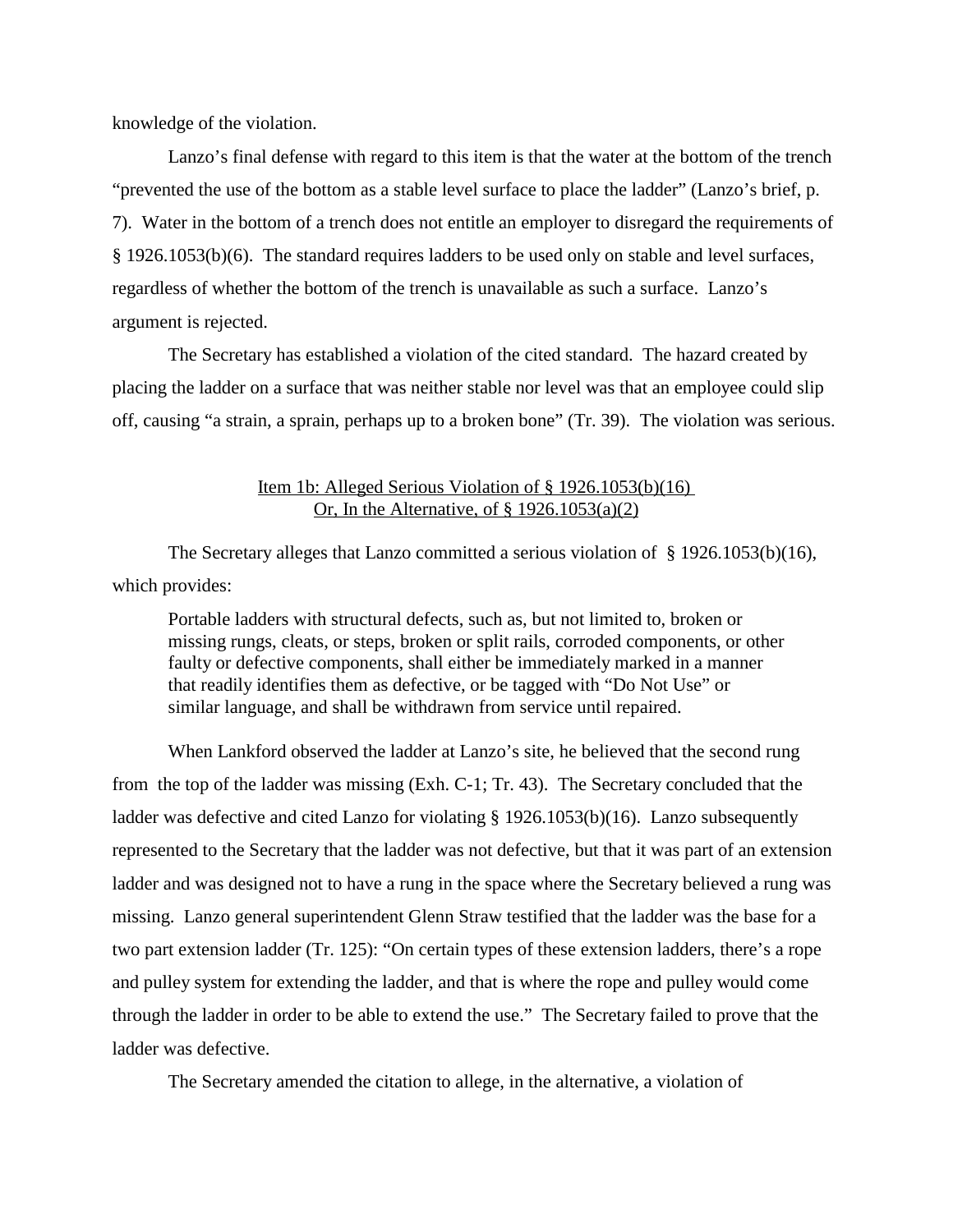knowledge of the violation.

Lanzo's final defense with regard to this item is that the water at the bottom of the trench "prevented the use of the bottom as a stable level surface to place the ladder" (Lanzo's brief, p. 7). Water in the bottom of a trench does not entitle an employer to disregard the requirements of § 1926.1053(b)(6). The standard requires ladders to be used only on stable and level surfaces, regardless of whether the bottom of the trench is unavailable as such a surface. Lanzo's argument is rejected.

The Secretary has established a violation of the cited standard. The hazard created by placing the ladder on a surface that was neither stable nor level was that an employee could slip off, causing "a strain, a sprain, perhaps up to a broken bone" (Tr. 39). The violation was serious.

# Item 1b: Alleged Serious Violation of § 1926.1053(b)(16) Or, In the Alternative, of  $\S$  1926.1053(a)(2)

The Secretary alleges that Lanzo committed a serious violation of § 1926.1053(b)(16), which provides:

Portable ladders with structural defects, such as, but not limited to, broken or missing rungs, cleats, or steps, broken or split rails, corroded components, or other faulty or defective components, shall either be immediately marked in a manner that readily identifies them as defective, or be tagged with "Do Not Use" or similar language, and shall be withdrawn from service until repaired.

When Lankford observed the ladder at Lanzo's site, he believed that the second rung from the top of the ladder was missing (Exh. C-1; Tr. 43). The Secretary concluded that the ladder was defective and cited Lanzo for violating § 1926.1053(b)(16). Lanzo subsequently represented to the Secretary that the ladder was not defective, but that it was part of an extension ladder and was designed not to have a rung in the space where the Secretary believed a rung was missing. Lanzo general superintendent Glenn Straw testified that the ladder was the base for a two part extension ladder (Tr. 125): "On certain types of these extension ladders, there's a rope and pulley system for extending the ladder, and that is where the rope and pulley would come through the ladder in order to be able to extend the use." The Secretary failed to prove that the ladder was defective.

The Secretary amended the citation to allege, in the alternative, a violation of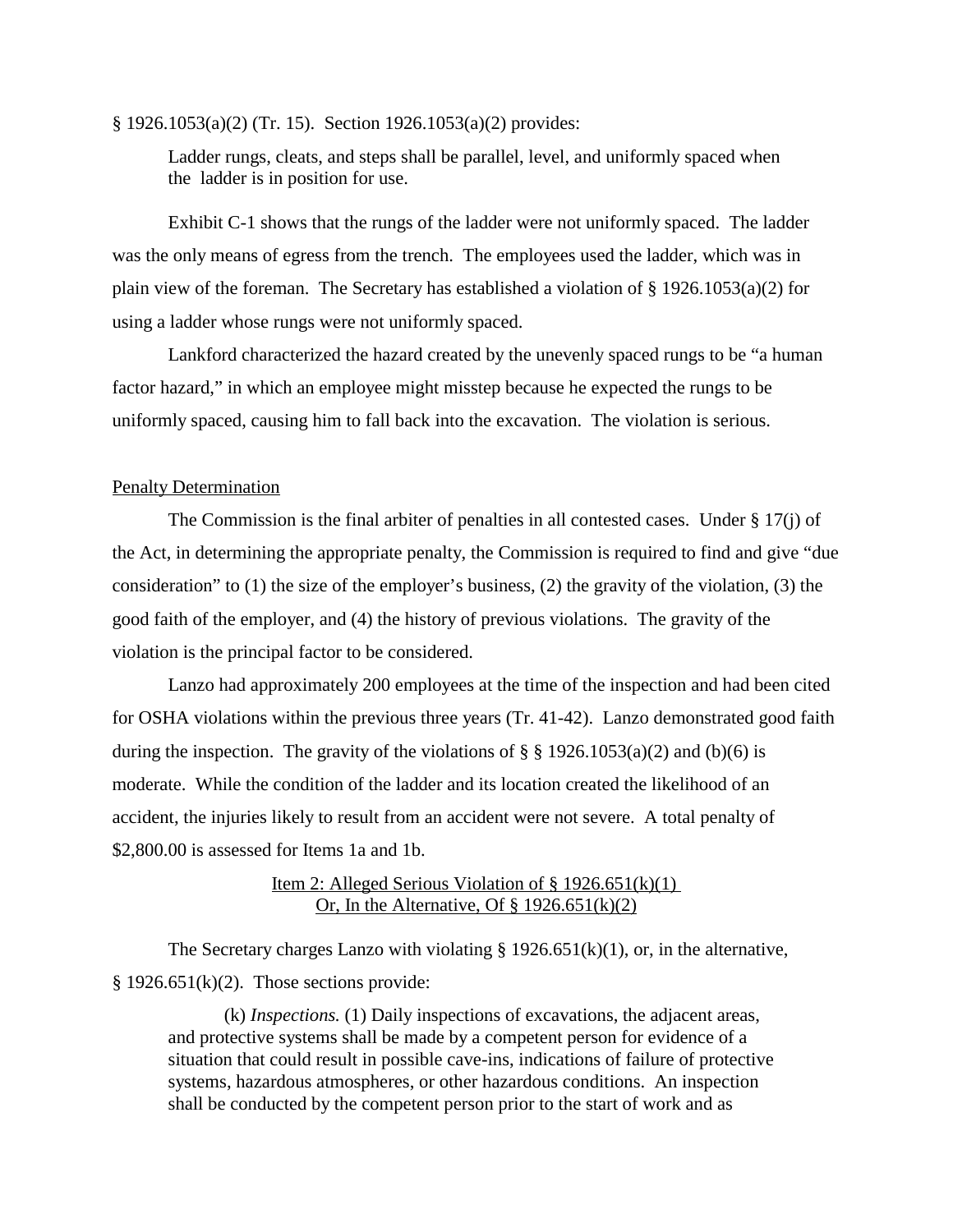#### § 1926.1053(a)(2) (Tr. 15). Section 1926.1053(a)(2) provides:

Ladder rungs, cleats, and steps shall be parallel, level, and uniformly spaced when the ladder is in position for use.

Exhibit C-1 shows that the rungs of the ladder were not uniformly spaced. The ladder was the only means of egress from the trench. The employees used the ladder, which was in plain view of the foreman. The Secretary has established a violation of § 1926.1053(a)(2) for using a ladder whose rungs were not uniformly spaced.

Lankford characterized the hazard created by the unevenly spaced rungs to be "a human factor hazard," in which an employee might misstep because he expected the rungs to be uniformly spaced, causing him to fall back into the excavation. The violation is serious.

## Penalty Determination

The Commission is the final arbiter of penalties in all contested cases. Under § 17(j) of the Act, in determining the appropriate penalty, the Commission is required to find and give "due consideration" to (1) the size of the employer's business, (2) the gravity of the violation, (3) the good faith of the employer, and (4) the history of previous violations. The gravity of the violation is the principal factor to be considered.

Lanzo had approximately 200 employees at the time of the inspection and had been cited for OSHA violations within the previous three years (Tr. 41-42). Lanzo demonstrated good faith during the inspection. The gravity of the violations of  $\S$  § 1926.1053(a)(2) and (b)(6) is moderate. While the condition of the ladder and its location created the likelihood of an accident, the injuries likely to result from an accident were not severe. A total penalty of \$2,800.00 is assessed for Items 1a and 1b.

# Item 2: Alleged Serious Violation of  $\S 1926.651(k)(1)$ Or, In the Alternative, Of  $\S$  1926.651(k)(2)

The Secretary charges Lanzo with violating  $\S 1926.651(k)(1)$ , or, in the alternative,  $§ 1926.651(k)(2).$  Those sections provide:

(k) *Inspections.* (1) Daily inspections of excavations, the adjacent areas, and protective systems shall be made by a competent person for evidence of a situation that could result in possible cave-ins, indications of failure of protective systems, hazardous atmospheres, or other hazardous conditions. An inspection shall be conducted by the competent person prior to the start of work and as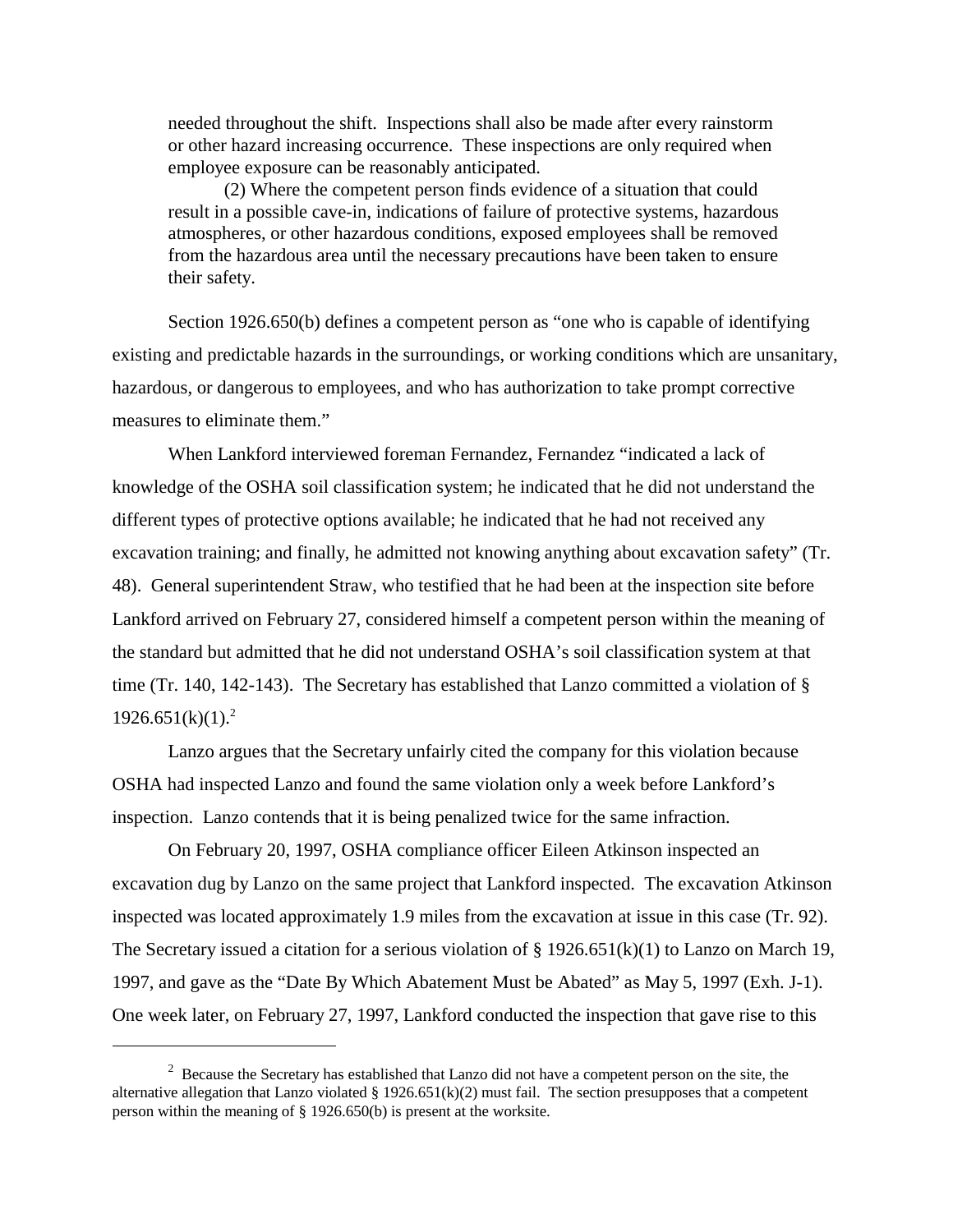needed throughout the shift. Inspections shall also be made after every rainstorm or other hazard increasing occurrence. These inspections are only required when employee exposure can be reasonably anticipated.

(2) Where the competent person finds evidence of a situation that could result in a possible cave-in, indications of failure of protective systems, hazardous atmospheres, or other hazardous conditions, exposed employees shall be removed from the hazardous area until the necessary precautions have been taken to ensure their safety.

Section 1926.650(b) defines a competent person as "one who is capable of identifying existing and predictable hazards in the surroundings, or working conditions which are unsanitary, hazardous, or dangerous to employees, and who has authorization to take prompt corrective measures to eliminate them."

When Lankford interviewed foreman Fernandez, Fernandez "indicated a lack of knowledge of the OSHA soil classification system; he indicated that he did not understand the different types of protective options available; he indicated that he had not received any excavation training; and finally, he admitted not knowing anything about excavation safety" (Tr. 48). General superintendent Straw, who testified that he had been at the inspection site before Lankford arrived on February 27, considered himself a competent person within the meaning of the standard but admitted that he did not understand OSHA's soil classification system at that time (Tr. 140, 142-143). The Secretary has established that Lanzo committed a violation of §  $1926.651(k)(1).^{2}$ 

Lanzo argues that the Secretary unfairly cited the company for this violation because OSHA had inspected Lanzo and found the same violation only a week before Lankford's inspection. Lanzo contends that it is being penalized twice for the same infraction.

On February 20, 1997, OSHA compliance officer Eileen Atkinson inspected an excavation dug by Lanzo on the same project that Lankford inspected. The excavation Atkinson inspected was located approximately 1.9 miles from the excavation at issue in this case (Tr. 92). The Secretary issued a citation for a serious violation of  $\S 1926.651(k)(1)$  to Lanzo on March 19, 1997, and gave as the "Date By Which Abatement Must be Abated" as May 5, 1997 (Exh. J-1). One week later, on February 27, 1997, Lankford conducted the inspection that gave rise to this

 $2$  Because the Secretary has established that Lanzo did not have a competent person on the site, the alternative allegation that Lanzo violated  $\S 1926.651(k)(2)$  must fail. The section presupposes that a competent person within the meaning of § 1926.650(b) is present at the worksite.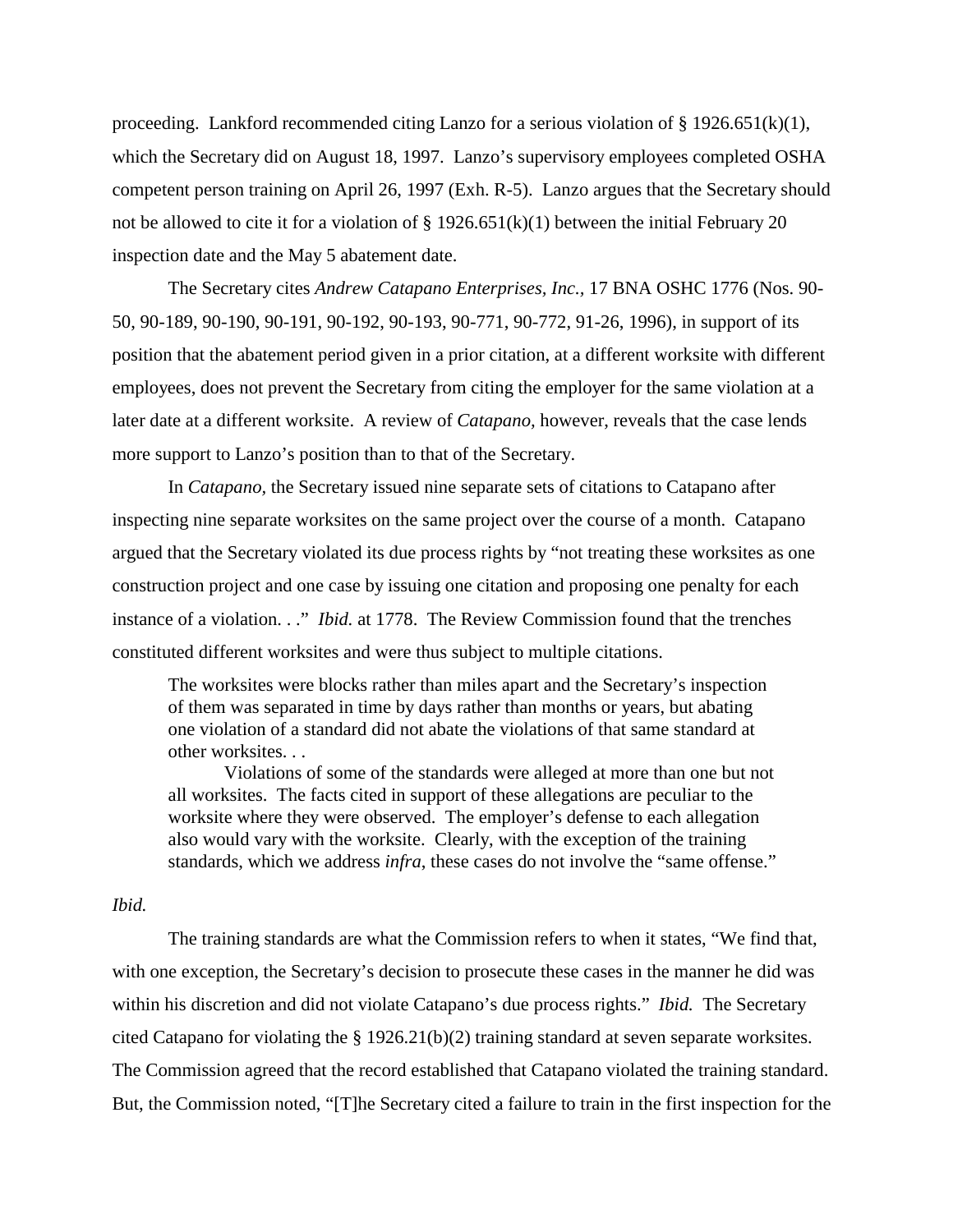proceeding. Lankford recommended citing Lanzo for a serious violation of  $\S 1926.651(k)(1)$ , which the Secretary did on August 18, 1997. Lanzo's supervisory employees completed OSHA competent person training on April 26, 1997 (Exh. R-5). Lanzo argues that the Secretary should not be allowed to cite it for a violation of  $\S 1926.651(k)(1)$  between the initial February 20 inspection date and the May 5 abatement date.

The Secretary cites *Andrew Catapano Enterprises, Inc.,* 17 BNA OSHC 1776 (Nos. 90- 50, 90-189, 90-190, 90-191, 90-192, 90-193, 90-771, 90-772, 91-26, 1996), in support of its position that the abatement period given in a prior citation, at a different worksite with different employees, does not prevent the Secretary from citing the employer for the same violation at a later date at a different worksite. A review of *Catapano,* however, reveals that the case lends more support to Lanzo's position than to that of the Secretary.

In *Catapano,* the Secretary issued nine separate sets of citations to Catapano after inspecting nine separate worksites on the same project over the course of a month. Catapano argued that the Secretary violated its due process rights by "not treating these worksites as one construction project and one case by issuing one citation and proposing one penalty for each instance of a violation. . ." *Ibid.* at 1778. The Review Commission found that the trenches constituted different worksites and were thus subject to multiple citations.

The worksites were blocks rather than miles apart and the Secretary's inspection of them was separated in time by days rather than months or years, but abating one violation of a standard did not abate the violations of that same standard at other worksites. . .

Violations of some of the standards were alleged at more than one but not all worksites. The facts cited in support of these allegations are peculiar to the worksite where they were observed. The employer's defense to each allegation also would vary with the worksite. Clearly, with the exception of the training standards, which we address *infra*, these cases do not involve the "same offense."

### *Ibid.*

The training standards are what the Commission refers to when it states, "We find that, with one exception, the Secretary's decision to prosecute these cases in the manner he did was within his discretion and did not violate Catapano's due process rights." *Ibid.* The Secretary cited Catapano for violating the § 1926.21(b)(2) training standard at seven separate worksites. The Commission agreed that the record established that Catapano violated the training standard. But, the Commission noted, "[T]he Secretary cited a failure to train in the first inspection for the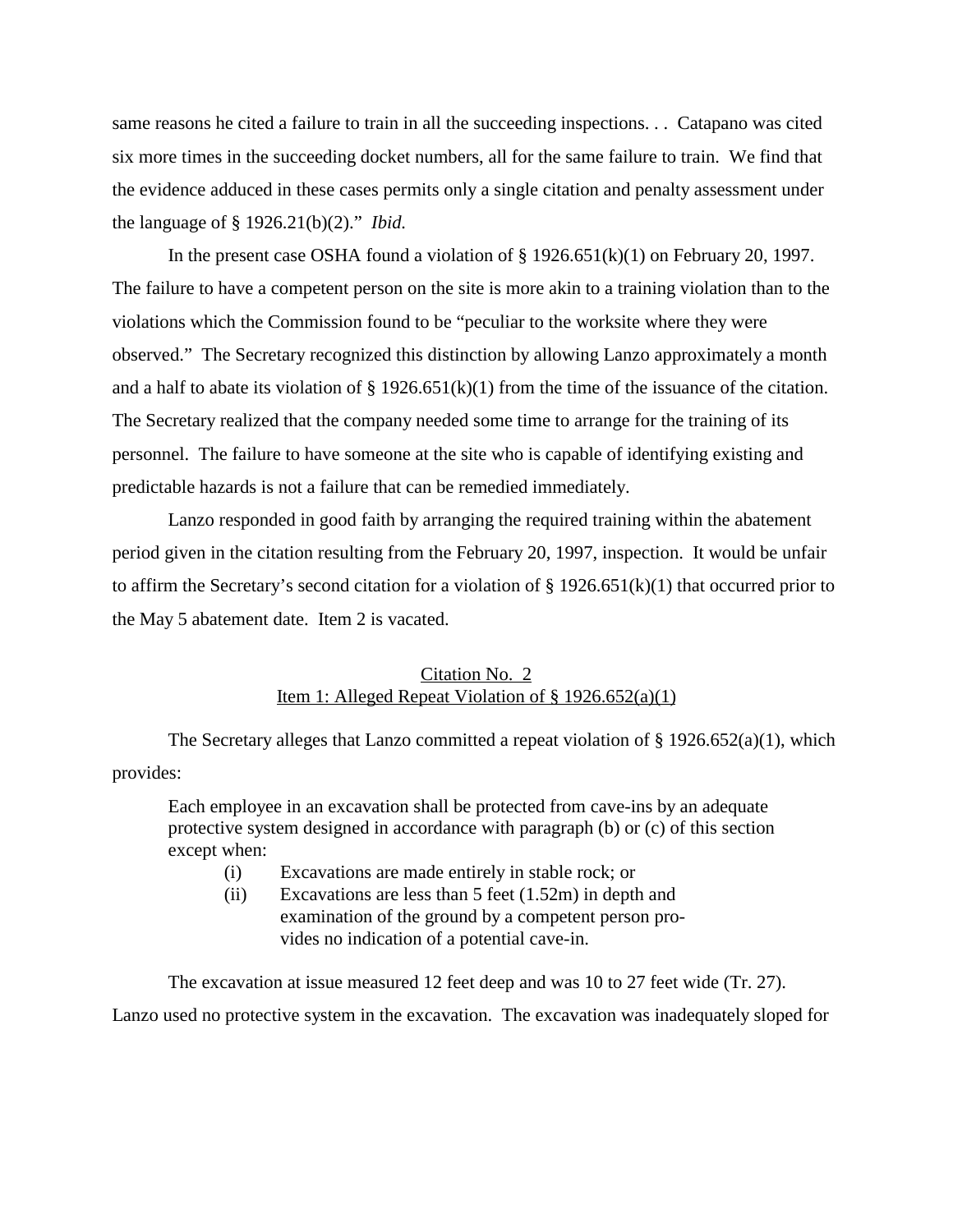same reasons he cited a failure to train in all the succeeding inspections. . . Catapano was cited six more times in the succeeding docket numbers, all for the same failure to train. We find that the evidence adduced in these cases permits only a single citation and penalty assessment under the language of § 1926.21(b)(2)." *Ibid.* 

In the present case OSHA found a violation of  $\S 1926.651(k)(1)$  on February 20, 1997. The failure to have a competent person on the site is more akin to a training violation than to the violations which the Commission found to be "peculiar to the worksite where they were observed." The Secretary recognized this distinction by allowing Lanzo approximately a month and a half to abate its violation of  $\S 1926.651(k)(1)$  from the time of the issuance of the citation. The Secretary realized that the company needed some time to arrange for the training of its personnel. The failure to have someone at the site who is capable of identifying existing and predictable hazards is not a failure that can be remedied immediately.

Lanzo responded in good faith by arranging the required training within the abatement period given in the citation resulting from the February 20, 1997, inspection. It would be unfair to affirm the Secretary's second citation for a violation of  $\S 1926.651(k)(1)$  that occurred prior to the May 5 abatement date. Item 2 is vacated.

# Citation No. 2 Item 1: Alleged Repeat Violation of  $\S$  1926.652(a)(1)

The Secretary alleges that Lanzo committed a repeat violation of  $\S 1926.652(a)(1)$ , which provides:

Each employee in an excavation shall be protected from cave-ins by an adequate protective system designed in accordance with paragraph (b) or (c) of this section except when:

- (i) Excavations are made entirely in stable rock; or
- (ii) Excavations are less than 5 feet (1.52m) in depth and examination of the ground by a competent person provides no indication of a potential cave-in.

The excavation at issue measured 12 feet deep and was 10 to 27 feet wide (Tr. 27). Lanzo used no protective system in the excavation. The excavation was inadequately sloped for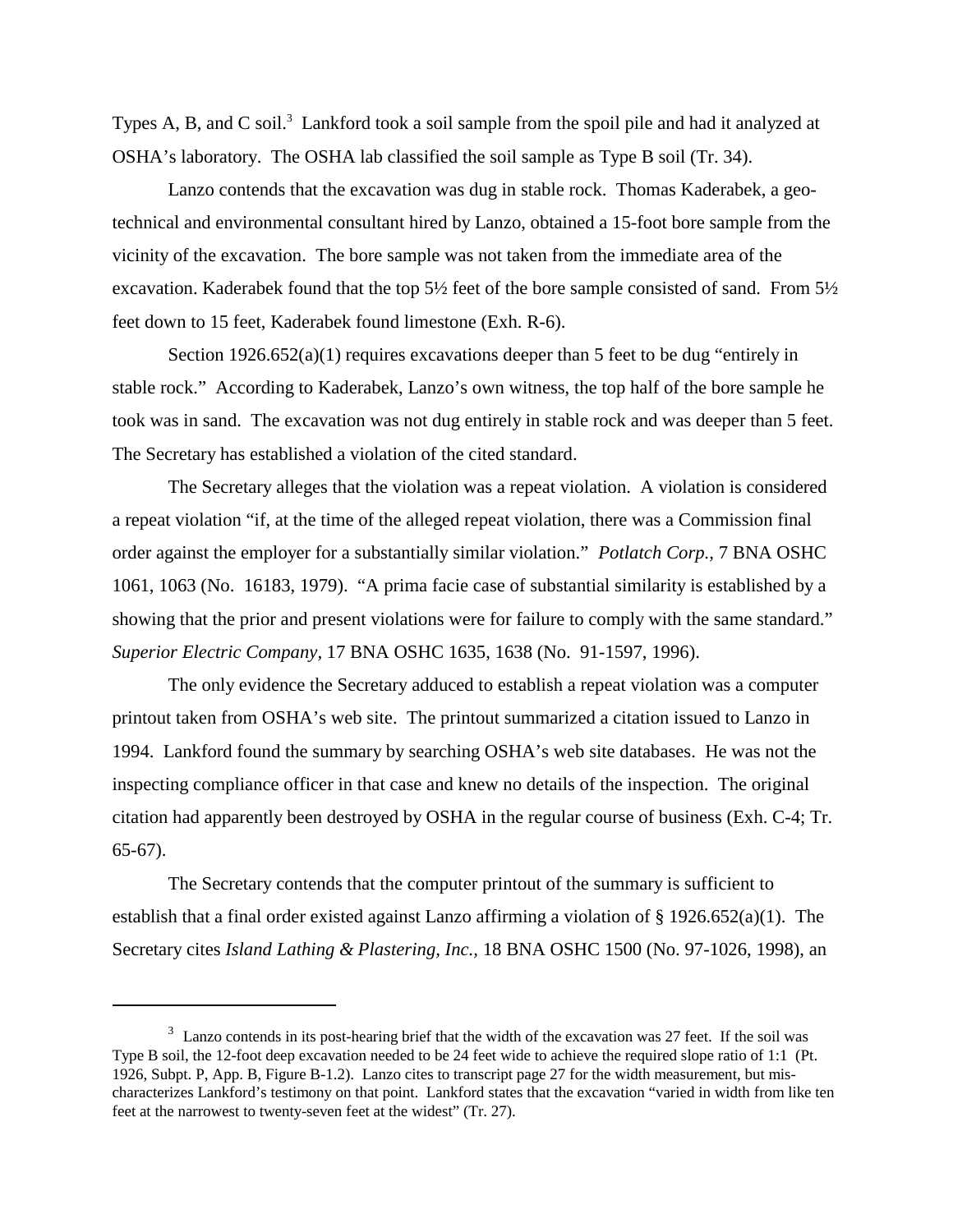Types A, B, and C soil.<sup>3</sup> Lankford took a soil sample from the spoil pile and had it analyzed at OSHA's laboratory. The OSHA lab classified the soil sample as Type B soil (Tr. 34).

Lanzo contends that the excavation was dug in stable rock. Thomas Kaderabek, a geotechnical and environmental consultant hired by Lanzo, obtained a 15-foot bore sample from the vicinity of the excavation. The bore sample was not taken from the immediate area of the excavation. Kaderabek found that the top 5½ feet of the bore sample consisted of sand. From 5½ feet down to 15 feet, Kaderabek found limestone (Exh. R-6).

Section 1926.652(a)(1) requires excavations deeper than 5 feet to be dug "entirely in stable rock." According to Kaderabek, Lanzo's own witness, the top half of the bore sample he took was in sand. The excavation was not dug entirely in stable rock and was deeper than 5 feet. The Secretary has established a violation of the cited standard.

The Secretary alleges that the violation was a repeat violation. A violation is considered a repeat violation "if, at the time of the alleged repeat violation, there was a Commission final order against the employer for a substantially similar violation." *Potlatch Corp.,* 7 BNA OSHC 1061, 1063 (No. 16183, 1979). "A prima facie case of substantial similarity is established by a showing that the prior and present violations were for failure to comply with the same standard." *Superior Electric Company,* 17 BNA OSHC 1635, 1638 (No. 91-1597, 1996).

The only evidence the Secretary adduced to establish a repeat violation was a computer printout taken from OSHA's web site. The printout summarized a citation issued to Lanzo in 1994. Lankford found the summary by searching OSHA's web site databases. He was not the inspecting compliance officer in that case and knew no details of the inspection. The original citation had apparently been destroyed by OSHA in the regular course of business (Exh. C-4; Tr. 65-67).

The Secretary contends that the computer printout of the summary is sufficient to establish that a final order existed against Lanzo affirming a violation of  $\S 1926.652(a)(1)$ . The Secretary cites *Island Lathing & Plastering, Inc.,* 18 BNA OSHC 1500 (No. 97-1026, 1998), an

 $3$  Lanzo contends in its post-hearing brief that the width of the excavation was 27 feet. If the soil was Type B soil, the 12-foot deep excavation needed to be 24 feet wide to achieve the required slope ratio of 1:1 (Pt. 1926, Subpt. P, App. B, Figure B-1.2). Lanzo cites to transcript page 27 for the width measurement, but mischaracterizes Lankford's testimony on that point. Lankford states that the excavation "varied in width from like ten feet at the narrowest to twenty-seven feet at the widest" (Tr. 27).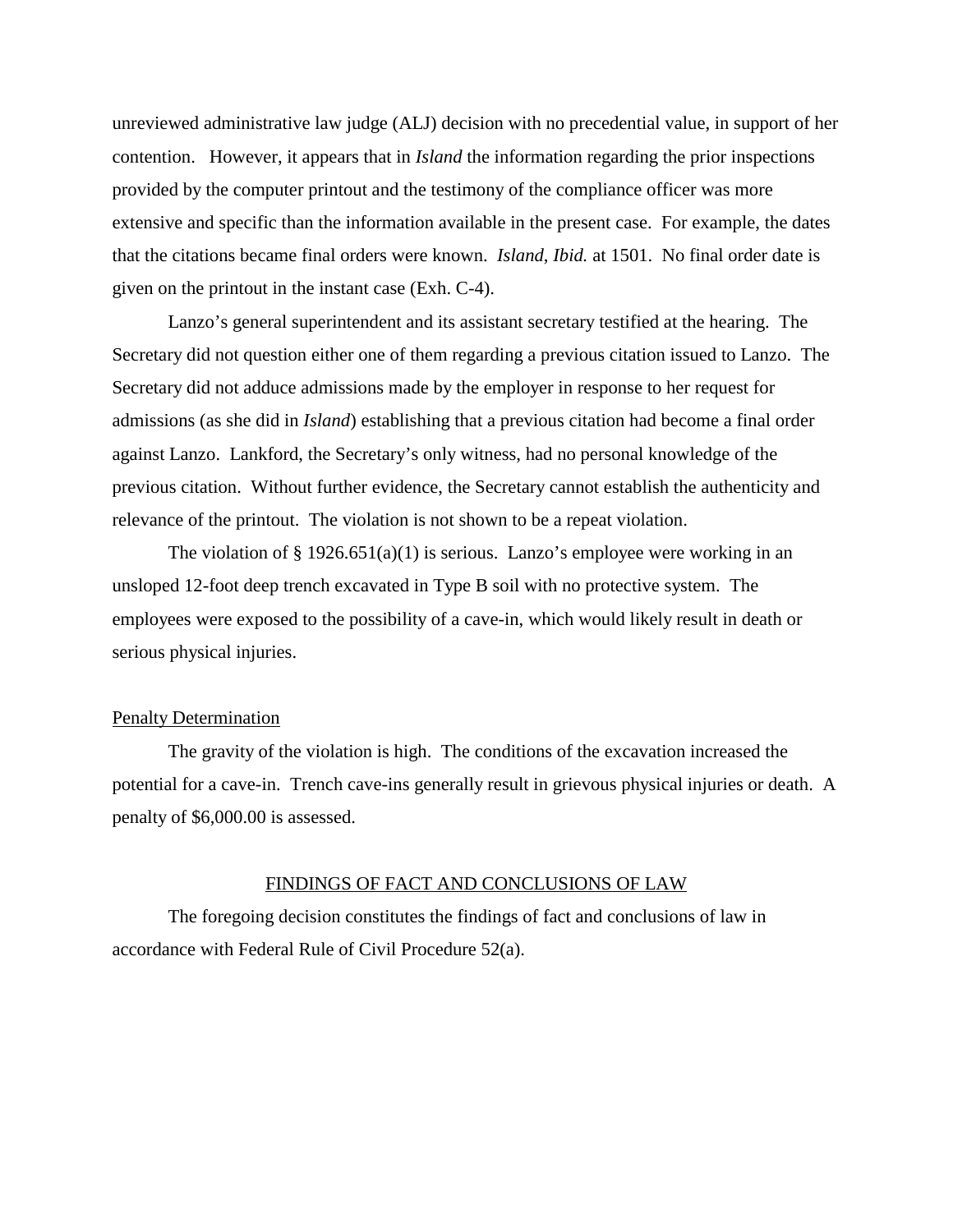unreviewed administrative law judge (ALJ) decision with no precedential value, in support of her contention. However, it appears that in *Island* the information regarding the prior inspections provided by the computer printout and the testimony of the compliance officer was more extensive and specific than the information available in the present case. For example, the dates that the citations became final orders were known. *Island*, *Ibid.* at 1501. No final order date is given on the printout in the instant case (Exh. C-4).

Lanzo's general superintendent and its assistant secretary testified at the hearing. The Secretary did not question either one of them regarding a previous citation issued to Lanzo. The Secretary did not adduce admissions made by the employer in response to her request for admissions (as she did in *Island*) establishing that a previous citation had become a final order against Lanzo. Lankford, the Secretary's only witness, had no personal knowledge of the previous citation. Without further evidence, the Secretary cannot establish the authenticity and relevance of the printout. The violation is not shown to be a repeat violation.

The violation of  $\S 1926.651(a)(1)$  is serious. Lanzo's employee were working in an unsloped 12-foot deep trench excavated in Type B soil with no protective system. The employees were exposed to the possibility of a cave-in, which would likely result in death or serious physical injuries.

## Penalty Determination

The gravity of the violation is high. The conditions of the excavation increased the potential for a cave-in. Trench cave-ins generally result in grievous physical injuries or death. A penalty of \$6,000.00 is assessed.

#### FINDINGS OF FACT AND CONCLUSIONS OF LAW

The foregoing decision constitutes the findings of fact and conclusions of law in accordance with Federal Rule of Civil Procedure 52(a).